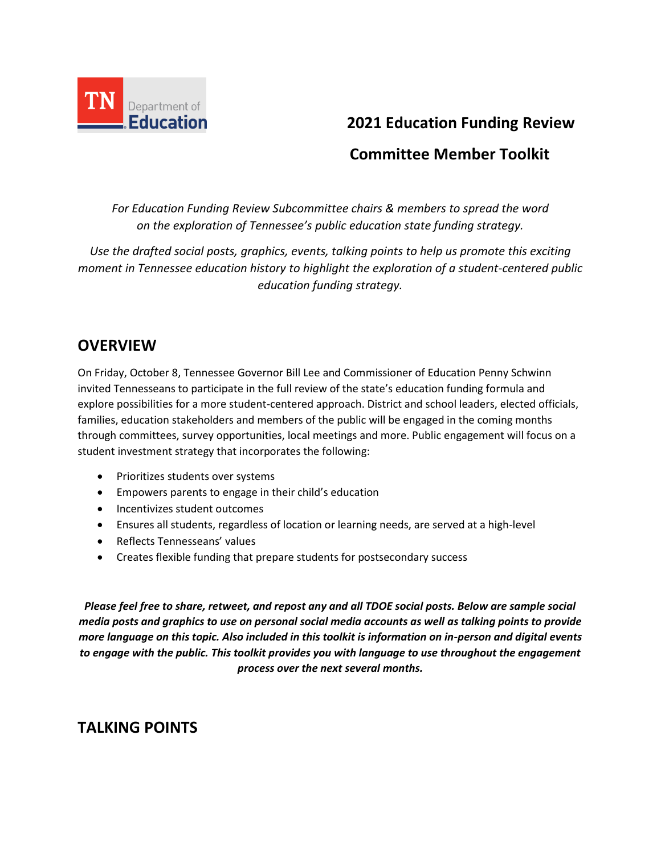

# **2021 Education Funding Review**

## **Committee Member Toolkit**

*For Education Funding Review Subcommittee chairs & members to spread the word on the exploration of Tennessee's public education state funding strategy.* 

*Use the drafted social posts, graphics, events, talking points to help us promote this exciting moment in Tennessee education history to highlight the exploration of a student-centered public education funding strategy.* 

## **OVERVIEW**

On Friday, October 8, Tennessee Governor Bill Lee and Commissioner of Education Penny Schwinn invited Tennesseans to participate in the full review of the state's education funding formula and explore possibilities for a more student-centered approach. District and school leaders, elected officials, families, education stakeholders and members of the public will be engaged in the coming months through committees, survey opportunities, local meetings and more. Public engagement will focus on a student investment strategy that incorporates the following:

- Prioritizes students over systems
- Empowers parents to engage in their child's education
- Incentivizes student outcomes
- Ensures all students, regardless of location or learning needs, are served at a high-level
- Reflects Tennesseans' values
- Creates flexible funding that prepare students for postsecondary success

*Please feel free to share, retweet, and repost any and all TDOE social posts. Below are sample social media posts and graphics to use on personal social media accounts as well as talking points to provide more language on this topic. Also included in this toolkit is information on in-person and digital events to engage with the public. This toolkit provides you with language to use throughout the engagement process over the next several months.*

## **TALKING POINTS**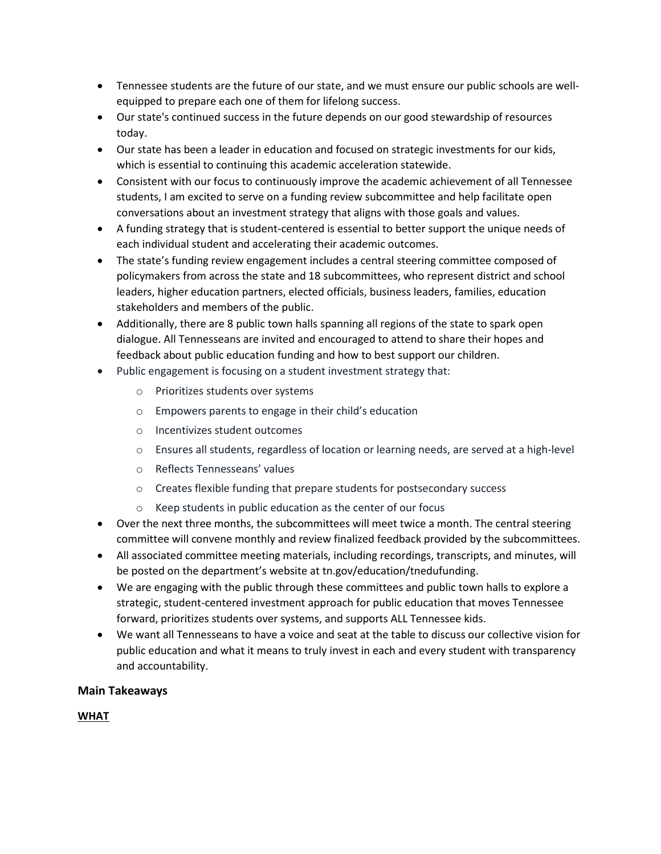- Tennessee students are the future of our state, and we must ensure our public schools are wellequipped to prepare each one of them for lifelong success.
- Our state's continued success in the future depends on our good stewardship of resources today.
- Our state has been a leader in education and focused on strategic investments for our kids, which is essential to continuing this academic acceleration statewide.
- Consistent with our focus to continuously improve the academic achievement of all Tennessee students, I am excited to serve on a funding review subcommittee and help facilitate open conversations about an investment strategy that aligns with those goals and values.
- A funding strategy that is student-centered is essential to better support the unique needs of each individual student and accelerating their academic outcomes.
- The state's funding review engagement includes a central steering committee composed of policymakers from across the state and 18 subcommittees, who represent district and school leaders, higher education partners, elected officials, business leaders, families, education stakeholders and members of the public.
- Additionally, there are 8 public town halls spanning all regions of the state to spark open dialogue. All Tennesseans are invited and encouraged to attend to share their hopes and feedback about public education funding and how to best support our children.
- Public engagement is focusing on a student investment strategy that:
	- o Prioritizes students over systems
	- o Empowers parents to engage in their child's education
	- o Incentivizes student outcomes
	- o Ensures all students, regardless of location or learning needs, are served at a high-level
	- o Reflects Tennesseans' values
	- o Creates flexible funding that prepare students for postsecondary success
	- o Keep students in public education as the center of our focus
- Over the next three months, the subcommittees will meet twice a month. The central steering committee will convene monthly and review finalized feedback provided by the subcommittees.
- All associated committee meeting materials, including recordings, transcripts, and minutes, will be posted on the department's website at tn.gov/education/tnedufunding.
- We are engaging with the public through these committees and public town halls to explore a strategic, student-centered investment approach for public education that moves Tennessee forward, prioritizes students over systems, and supports ALL Tennessee kids.
- We want all Tennesseans to have a voice and seat at the table to discuss our collective vision for public education and what it means to truly invest in each and every student with transparency and accountability.

## **Main Takeaways**

## **WHAT**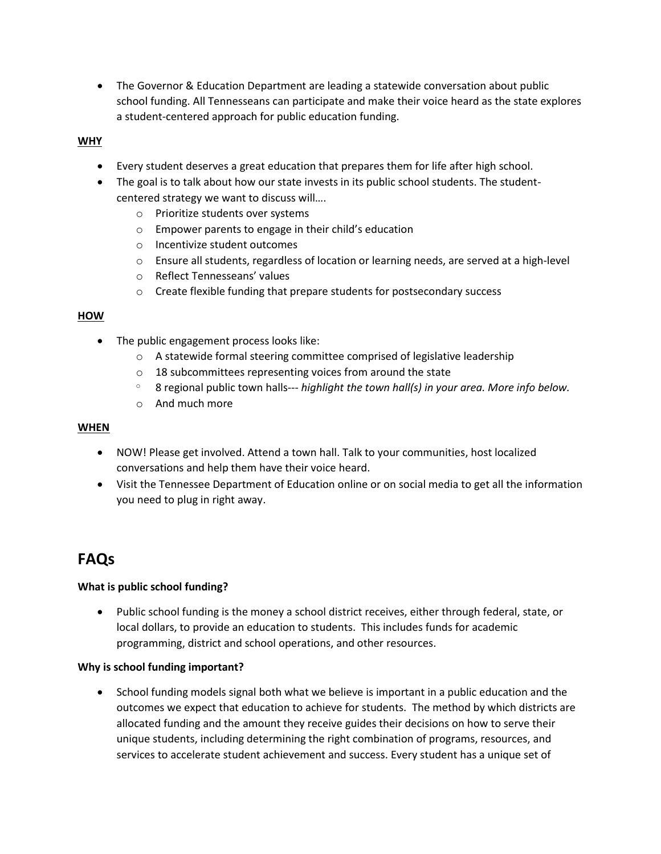• The Governor & Education Department are leading a statewide conversation about public school funding. All Tennesseans can participate and make their voice heard as the state explores a student-centered approach for public education funding.

### **WHY**

- Every student deserves a great education that prepares them for life after high school.
- The goal is to talk about how our state invests in its public school students. The studentcentered strategy we want to discuss will….
	- o Prioritize students over systems
	- o Empower parents to engage in their child's education
	- o Incentivize student outcomes
	- o Ensure all students, regardless of location or learning needs, are served at a high-level
	- o Reflect Tennesseans' values
	- o Create flexible funding that prepare students for postsecondary success

#### **HOW**

- The public engagement process looks like:
	- $\circ$  A statewide formal steering committee comprised of legislative leadership
	- o 18 subcommittees representing voices from around the state
	- <sup>o</sup> 8 regional public town halls--- *highlight the town hall(s) in your area. More info below.*
	- o And much more

#### **WHEN**

- NOW! Please get involved. Attend a town hall. Talk to your communities, host localized conversations and help them have their voice heard.
- Visit the Tennessee Department of Education online or on social media to get all the information you need to plug in right away.

## **FAQs**

#### **What is public school funding?**

• Public school funding is the money a school district receives, either through federal, state, or local dollars, to provide an education to students. This includes funds for academic programming, district and school operations, and other resources.

#### **Why is school funding important?**

 School funding models signal both what we believe is important in a public education and the outcomes we expect that education to achieve for students. The method by which districts are allocated funding and the amount they receive guides their decisions on how to serve their unique students, including determining the right combination of programs, resources, and services to accelerate student achievement and success. Every student has a unique set of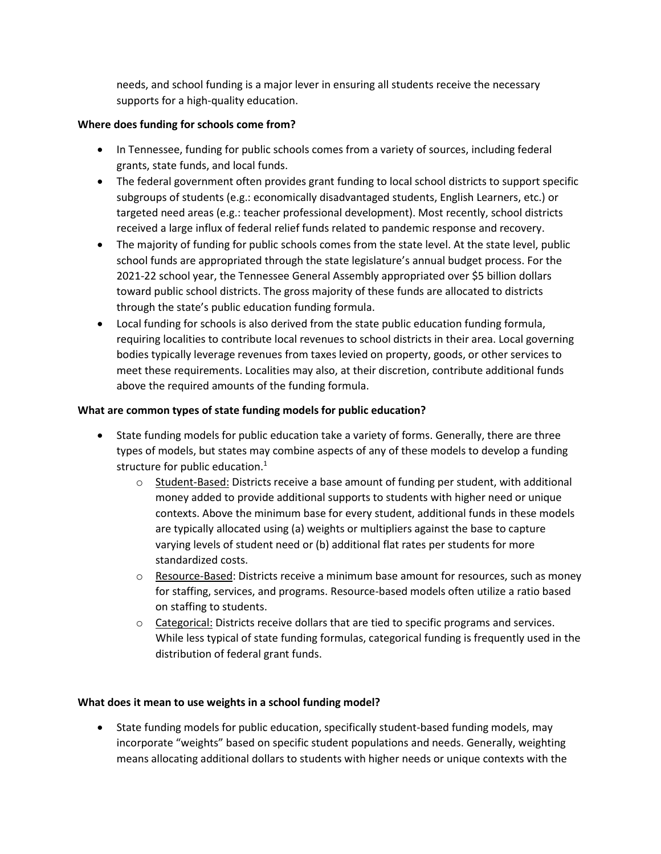needs, and school funding is a major lever in ensuring all students receive the necessary supports for a high-quality education.

### **Where does funding for schools come from?**

- In Tennessee, funding for public schools comes from a variety of sources, including federal grants, state funds, and local funds.
- The federal government often provides grant funding to local school districts to support specific subgroups of students (e.g.: economically disadvantaged students, English Learners, etc.) or targeted need areas (e.g.: teacher professional development). Most recently, school districts received a large influx of federal relief funds related to pandemic response and recovery.
- The majority of funding for public schools comes from the state level. At the state level, public school funds are appropriated through the state legislature's annual budget process. For the 2021-22 school year, the Tennessee General Assembly appropriated over \$5 billion dollars toward public school districts. The gross majority of these funds are allocated to districts through the state's public education funding formula.
- Local funding for schools is also derived from the state public education funding formula, requiring localities to contribute local revenues to school districts in their area. Local governing bodies typically leverage revenues from taxes levied on property, goods, or other services to meet these requirements. Localities may also, at their discretion, contribute additional funds above the required amounts of the funding formula.

## **What are common types of state funding models for public education?**

- State funding models for public education take a variety of forms. Generally, there are three types of models, but states may combine aspects of any of these models to develop a funding structure for public education.<sup>1</sup>
	- $\circ$  Student-Based: Districts receive a base amount of funding per student, with additional money added to provide additional supports to students with higher need or unique contexts. Above the minimum base for every student, additional funds in these models are typically allocated using (a) weights or multipliers against the base to capture varying levels of student need or (b) additional flat rates per students for more standardized costs.
	- o Resource-Based: Districts receive a minimum base amount for resources, such as money for staffing, services, and programs. Resource-based models often utilize a ratio based on staffing to students.
	- $\circ$  Categorical: Districts receive dollars that are tied to specific programs and services. While less typical of state funding formulas, categorical funding is frequently used in the distribution of federal grant funds.

## **What does it mean to use weights in a school funding model?**

 State funding models for public education, specifically student-based funding models, may incorporate "weights" based on specific student populations and needs. Generally, weighting means allocating additional dollars to students with higher needs or unique contexts with the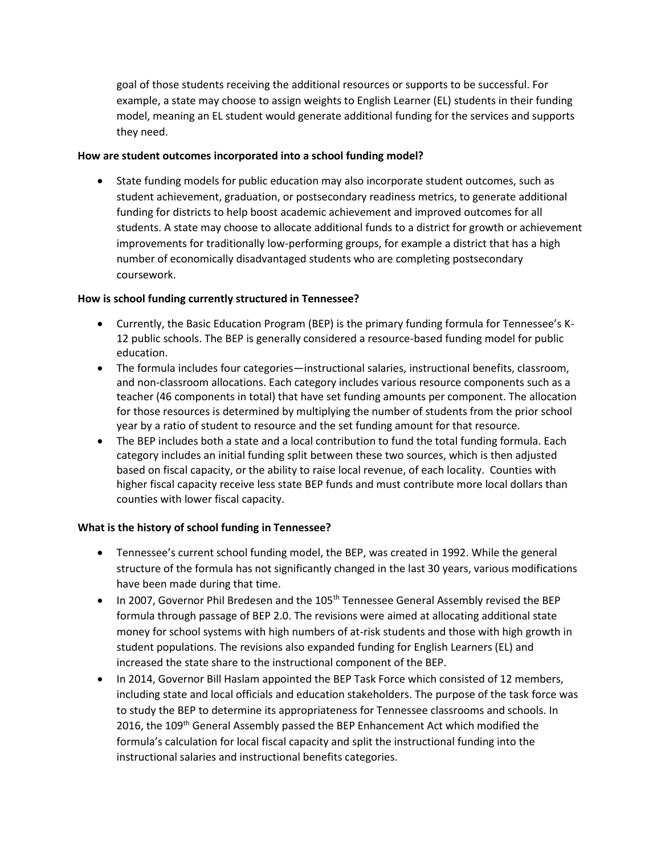goal of those students receiving the additional resources or supports to be successful. For example, a state may choose to assign weights to English Learner (EL) students in their funding model, meaning an EL student would generate additional funding for the services and supports they need.

#### **How are student outcomes incorporated into a school funding model?**

 State funding models for public education may also incorporate student outcomes, such as student achievement, graduation, or postsecondary readiness metrics, to generate additional funding for districts to help boost academic achievement and improved outcomes for all students. A state may choose to allocate additional funds to a district for growth or achievement improvements for traditionally low-performing groups, for example a district that has a high number of economically disadvantaged students who are completing postsecondary coursework.

### **How is school funding currently structured in Tennessee?**

- Currently, the Basic Education Program (BEP) is the primary funding formula for Tennessee's K-12 public schools. The BEP is generally considered a resource-based funding model for public education.
- The formula includes four categories—instructional salaries, instructional benefits, classroom, and non-classroom allocations. Each category includes various resource components such as a teacher (46 components in total) that have set funding amounts per component. The allocation for those resources is determined by multiplying the number of students from the prior school year by a ratio of student to resource and the set funding amount for that resource.
- The BEP includes both a state and a local contribution to fund the total funding formula. Each category includes an initial funding split between these two sources, which is then adjusted based on fiscal capacity, or the ability to raise local revenue, of each locality. Counties with higher fiscal capacity receive less state BEP funds and must contribute more local dollars than counties with lower fiscal capacity.

## **What is the history of school funding in Tennessee?**

- Tennessee's current school funding model, the BEP, was created in 1992. While the general structure of the formula has not significantly changed in the last 30 years, various modifications have been made during that time.
- In 2007, Governor Phil Bredesen and the 105<sup>th</sup> Tennessee General Assembly revised the BEP formula through passage of BEP 2.0. The revisions were aimed at allocating additional state money for school systems with high numbers of at-risk students and those with high growth in student populations. The revisions also expanded funding for English Learners (EL) and increased the state share to the instructional component of the BEP.
- In 2014, Governor Bill Haslam appointed the BEP Task Force which consisted of 12 members, including state and local officials and education stakeholders. The purpose of the task force was to study the BEP to determine its appropriateness for Tennessee classrooms and schools. In 2016, the 109<sup>th</sup> General Assembly passed the BEP Enhancement Act which modified the formula's calculation for local fiscal capacity and split the instructional funding into the instructional salaries and instructional benefits categories.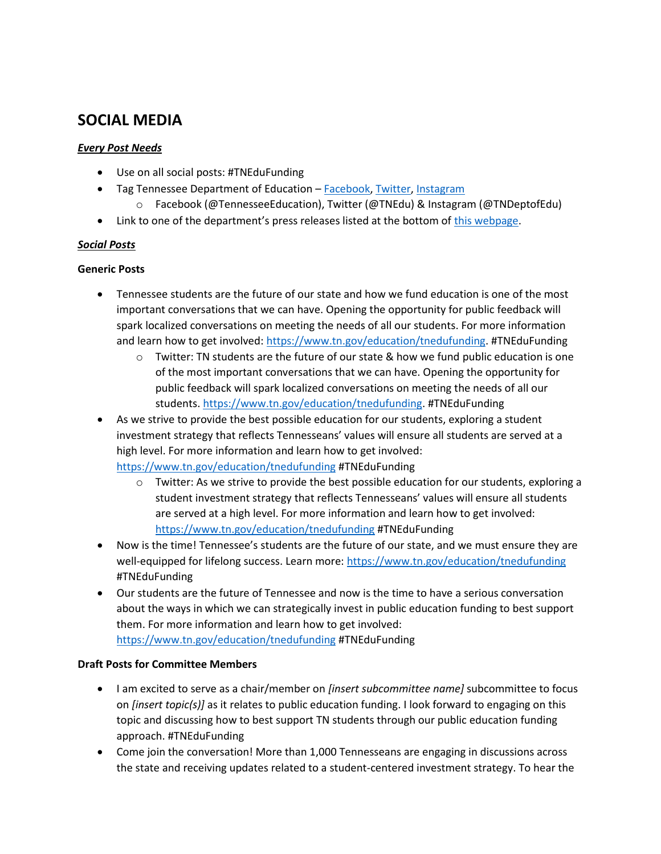## **SOCIAL MEDIA**

### *Every Post Needs*

- Use on all social posts: #TNEduFunding
- Tag Tennessee Department of Education [Facebook,](https://www.facebook.com/TennesseeEducation/) [Twitter,](https://twitter.com/TNedu) [Instagram](https://www.instagram.com/tndeptofedu/?hl=en)
	- o Facebook (@TennesseeEducation), Twitter (@TNEdu) & Instagram (@TNDeptofEdu)
- Link to one of the department's press releases listed at the bottom of [this webpage.](https://www.tn.gov/education/tnedufunding.html)

## *Social Posts*

## **Generic Posts**

- Tennessee students are the future of our state and how we fund education is one of the most important conversations that we can have. Opening the opportunity for public feedback will spark localized conversations on meeting the needs of all our students. For more information and learn how to get involved[: https://www.tn.gov/education/tnedufunding.](https://www.tn.gov/education/tnedufunding) #TNEduFunding
	- $\circ$  Twitter: TN students are the future of our state & how we fund public education is one of the most important conversations that we can have. Opening the opportunity for public feedback will spark localized conversations on meeting the needs of all our students. [https://www.tn.gov/education/tnedufunding.](https://www.tn.gov/education/tnedufunding) #TNEduFunding
- As we strive to provide the best possible education for our students, exploring a student investment strategy that reflects Tennesseans' values will ensure all students are served at a high level. For more information and learn how to get involved: <https://www.tn.gov/education/tnedufunding> #TNEduFunding
	- $\circ$  Twitter: As we strive to provide the best possible education for our students, exploring a student investment strategy that reflects Tennesseans' values will ensure all students are served at a high level. For more information and learn how to get involved: <https://www.tn.gov/education/tnedufunding> #TNEduFunding
- Now is the time! Tennessee's students are the future of our state, and we must ensure they are well-equipped for lifelong success. Learn more:<https://www.tn.gov/education/tnedufunding> #TNEduFunding
- Our students are the future of Tennessee and now is the time to have a serious conversation about the ways in which we can strategically invest in public education funding to best support them. For more information and learn how to get involved: <https://www.tn.gov/education/tnedufunding> #TNEduFunding

## **Draft Posts for Committee Members**

- I am excited to serve as a chair/member on *[insert subcommittee name]* subcommittee to focus on *[insert topic(s)]* as it relates to public education funding. I look forward to engaging on this topic and discussing how to best support TN students through our public education funding approach. #TNEduFunding
- Come join the conversation! More than 1,000 Tennesseans are engaging in discussions across the state and receiving updates related to a student-centered investment strategy. To hear the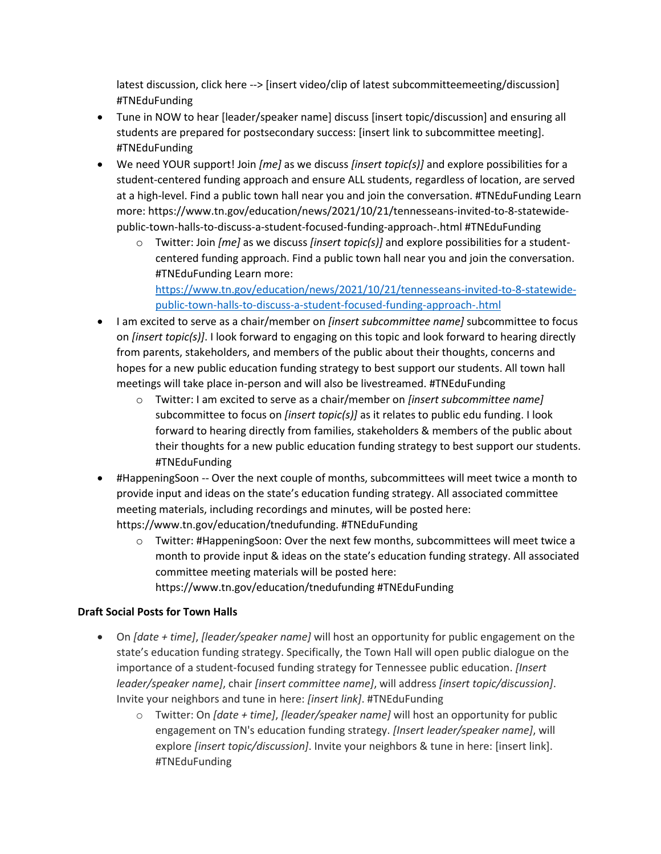latest discussion, click here --> [insert video/clip of latest subcommitteemeeting/discussion] #TNEduFunding

- Tune in NOW to hear [leader/speaker name] discuss [insert topic/discussion] and ensuring all students are prepared for postsecondary success: [insert link to subcommittee meeting]. #TNEduFunding
- We need YOUR support! Join *[me]* as we discuss *[insert topic(s)]* and explore possibilities for a student-centered funding approach and ensure ALL students, regardless of location, are served at a high-level. Find a public town hall near you and join the conversation. #TNEduFunding Learn more: https://www.tn.gov/education/news/2021/10/21/tennesseans-invited-to-8-statewidepublic-town-halls-to-discuss-a-student-focused-funding-approach-.html #TNEduFunding
	- o Twitter: Join *[me]* as we discuss *[insert topic(s)]* and explore possibilities for a studentcentered funding approach. Find a public town hall near you and join the conversation. #TNEduFunding Learn more:

[https://www.tn.gov/education/news/2021/10/21/tennesseans-invited-to-8-statewide](https://www.tn.gov/education/news/2021/10/21/tennesseans-invited-to-8-statewide-public-town-halls-to-discuss-a-student-focused-funding-approach-.html)[public-town-halls-to-discuss-a-student-focused-funding-approach-.html](https://www.tn.gov/education/news/2021/10/21/tennesseans-invited-to-8-statewide-public-town-halls-to-discuss-a-student-focused-funding-approach-.html)

- I am excited to serve as a chair/member on *[insert subcommittee name]* subcommittee to focus on *[insert topic(s)]*. I look forward to engaging on this topic and look forward to hearing directly from parents, stakeholders, and members of the public about their thoughts, concerns and hopes for a new public education funding strategy to best support our students. All town hall meetings will take place in-person and will also be livestreamed. #TNEduFunding
	- o Twitter: I am excited to serve as a chair/member on *[insert subcommittee name]* subcommittee to focus on *[insert topic(s)]* as it relates to public edu funding. I look forward to hearing directly from families, stakeholders & members of the public about their thoughts for a new public education funding strategy to best support our students. #TNEduFunding
- #HappeningSoon -- Over the next couple of months, subcommittees will meet twice a month to provide input and ideas on the state's education funding strategy. All associated committee meeting materials, including recordings and minutes, will be posted here: https://www.tn.gov/education/tnedufunding. #TNEduFunding
	- o Twitter: #HappeningSoon: Over the next few months, subcommittees will meet twice a month to provide input & ideas on the state's education funding strategy. All associated committee meeting materials will be posted here: https://www.tn.gov/education/tnedufunding #TNEduFunding

## **Draft Social Posts for Town Halls**

- On *[date + time]*, *[leader/speaker name]* will host an opportunity for public engagement on the state's education funding strategy. Specifically, the Town Hall will open public dialogue on the importance of a student-focused funding strategy for Tennessee public education. *[Insert leader/speaker name]*, chair *[insert committee name]*, will address *[insert topic/discussion]*. Invite your neighbors and tune in here: *[insert link]*. #TNEduFunding
	- o Twitter: On *[date + time]*, *[leader/speaker name]* will host an opportunity for public engagement on TN's education funding strategy. *[Insert leader/speaker name]*, will explore *[insert topic/discussion]*. Invite your neighbors & tune in here: [insert link]. #TNEduFunding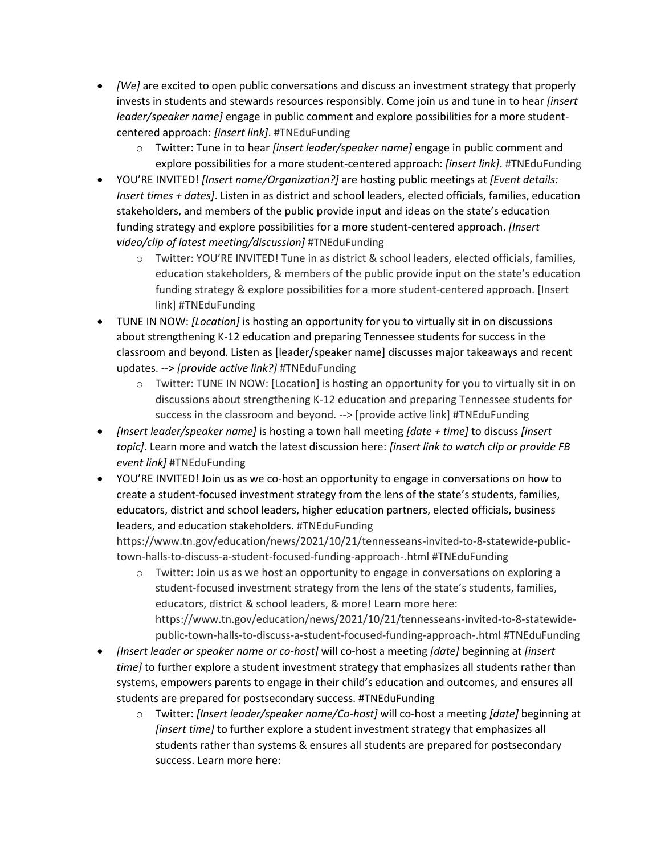- *[We]* are excited to open public conversations and discuss an investment strategy that properly invests in students and stewards resources responsibly. Come join us and tune in to hear *[insert leader/speaker name]* engage in public comment and explore possibilities for a more studentcentered approach: *[insert link]*. #TNEduFunding
	- o Twitter: Tune in to hear *[insert leader/speaker name]* engage in public comment and explore possibilities for a more student-centered approach: *[insert link]*. #TNEduFunding
- YOU'RE INVITED! *[Insert name/Organization?]* are hosting public meetings at *[Event details: Insert times + dates]*. Listen in as district and school leaders, elected officials, families, education stakeholders, and members of the public provide input and ideas on the state's education funding strategy and explore possibilities for a more student-centered approach. *[Insert video/clip of latest meeting/discussion]* #TNEduFunding
	- o Twitter: YOU'RE INVITED! Tune in as district & school leaders, elected officials, families, education stakeholders, & members of the public provide input on the state's education funding strategy & explore possibilities for a more student-centered approach. [Insert link] #TNEduFunding
- TUNE IN NOW: *[Location]* is hosting an opportunity for you to virtually sit in on discussions about strengthening K-12 education and preparing Tennessee students for success in the classroom and beyond. Listen as [leader/speaker name] discusses major takeaways and recent updates. --> *[provide active link?]* #TNEduFunding
	- $\circ$  Twitter: TUNE IN NOW: [Location] is hosting an opportunity for you to virtually sit in on discussions about strengthening K-12 education and preparing Tennessee students for success in the classroom and beyond. --> [provide active link] #TNEduFunding
- *[Insert leader/speaker name]* is hosting a town hall meeting *[date + time]* to discuss *[insert topic]*. Learn more and watch the latest discussion here: *[insert link to watch clip or provide FB event link]* #TNEduFunding
- YOU'RE INVITED! Join us as we co-host an opportunity to engage in conversations on how to create a student-focused investment strategy from the lens of the state's students, families, educators, district and school leaders, higher education partners, elected officials, business leaders, and education stakeholders. #TNEduFunding

https://www.tn.gov/education/news/2021/10/21/tennesseans-invited-to-8-statewide-publictown-halls-to-discuss-a-student-focused-funding-approach-.html #TNEduFunding

- $\circ$  Twitter: Join us as we host an opportunity to engage in conversations on exploring a student-focused investment strategy from the lens of the state's students, families, educators, district & school leaders, & more! Learn more here: https://www.tn.gov/education/news/2021/10/21/tennesseans-invited-to-8-statewidepublic-town-halls-to-discuss-a-student-focused-funding-approach-.html #TNEduFunding
- *[Insert leader or speaker name or co-host]* will co-host a meeting *[date]* beginning at *[insert time]* to further explore a student investment strategy that emphasizes all students rather than systems, empowers parents to engage in their child's education and outcomes, and ensures all students are prepared for postsecondary success. #TNEduFunding
	- o Twitter: *[Insert leader/speaker name/Co-host]* will co-host a meeting *[date]* beginning at *[insert time]* to further explore a student investment strategy that emphasizes all students rather than systems & ensures all students are prepared for postsecondary success. Learn more here: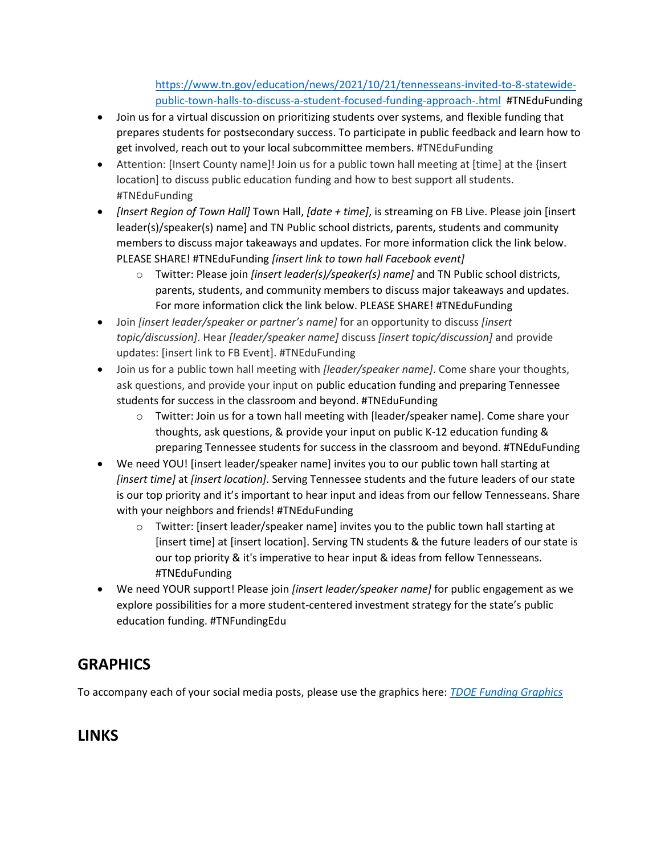[https://www.tn.gov/education/news/2021/10/21/tennesseans-invited-to-8-statewide](https://www.tn.gov/education/news/2021/10/21/tennesseans-invited-to-8-statewide-public-town-halls-to-discuss-a-student-focused-funding-approach-.html)[public-town-halls-to-discuss-a-student-focused-funding-approach-.html](https://www.tn.gov/education/news/2021/10/21/tennesseans-invited-to-8-statewide-public-town-halls-to-discuss-a-student-focused-funding-approach-.html) #TNEduFunding

- Join us for a virtual discussion on prioritizing students over systems, and flexible funding that prepares students for postsecondary success. To participate in public feedback and learn how to get involved, reach out to your local subcommittee members. #TNEduFunding
- Attention: [Insert County name]! Join us for a public town hall meeting at [time] at the {insert location] to discuss public education funding and how to best support all students. #TNEduFunding
- *[Insert Region of Town Hall]* Town Hall, *[date + time]*, is streaming on FB Live. Please join [insert leader(s)/speaker(s) name] and TN Public school districts, parents, students and community members to discuss major takeaways and updates. For more information click the link below. PLEASE SHARE! #TNEduFunding *[insert link to town hall Facebook event]*
	- o Twitter: Please join *[insert leader(s)/speaker(s) name]* and TN Public school districts, parents, students, and community members to discuss major takeaways and updates. For more information click the link below. PLEASE SHARE! #TNEduFunding
- Join *[insert leader/speaker or partner's name]* for an opportunity to discuss *[insert topic/discussion]*. Hear *[leader/speaker name]* discuss *[insert topic/discussion]* and provide updates: [insert link to FB Event]. #TNEduFunding
- Join us for a public town hall meeting with *[leader/speaker name]*. Come share your thoughts, ask questions, and provide your input on public education funding and preparing Tennessee students for success in the classroom and beyond. #TNEduFunding
	- o Twitter: Join us for a town hall meeting with [leader/speaker name]. Come share your thoughts, ask questions, & provide your input on public K-12 education funding & preparing Tennessee students for success in the classroom and beyond. #TNEduFunding
- We need YOU! [insert leader/speaker name] invites you to our public town hall starting at *[insert time]* at *[insert location]*. Serving Tennessee students and the future leaders of our state is our top priority and it's important to hear input and ideas from our fellow Tennesseans. Share with your neighbors and friends! #TNEduFunding
	- o Twitter: [insert leader/speaker name] invites you to the public town hall starting at [insert time] at [insert location]. Serving TN students & the future leaders of our state is our top priority & it's imperative to hear input & ideas from fellow Tennesseans. #TNEduFunding
- We need YOUR support! Please join *[insert leader/speaker name]* for public engagement as we explore possibilities for a more student-centered investment strategy for the state's public education funding. #TNFundingEdu

# **GRAPHICS**

To accompany each of your social media posts, please use the graphics here: *[TDOE Funding Graphics](https://drive.google.com/drive/folders/1NFgQQltyzukYC5EtuTJVK8wkJS-lGnZZ?usp=sharing)*

## **LINKS**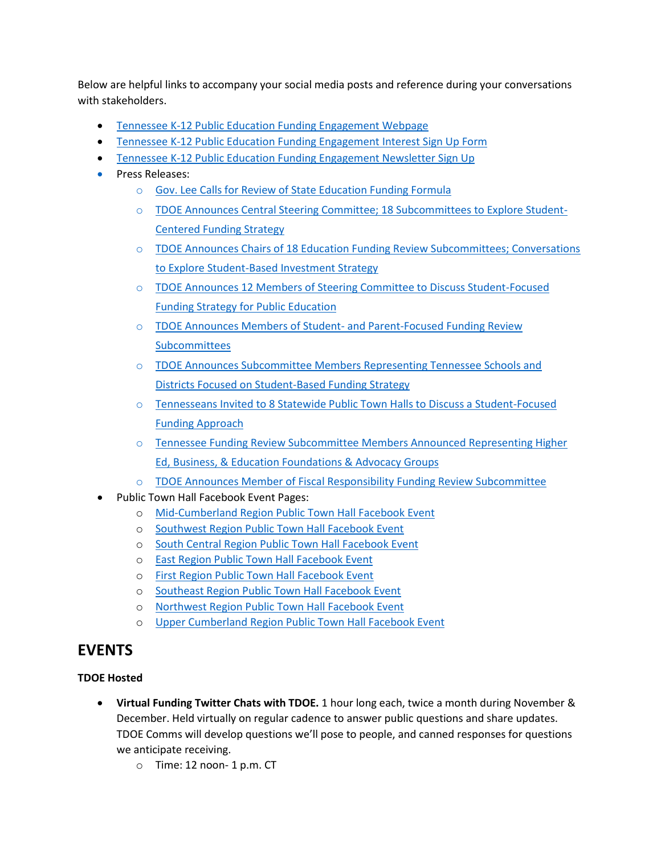Below are helpful links to accompany your social media posts and reference during your conversations with stakeholders.

- [Tennessee K-12 Public Education Funding Engagement Webpage](https://www.tn.gov/education/tnedufunding.html)
- [Tennessee K-12 Public Education Funding Engagement](https://forms.office.com/Pages/ResponsePage.aspx?id=vUUkRyQkj064UN90iOGLSge9ryQQXmhMvveNN88fYupUM0ZBMjRLVzM3T1VONEpHMEhFWkxSUVc5My4u) Interest Sign Up Form
- [Tennessee K-12 Public Education Funding Engagement Newsletter Sign Up](https://tnedu.gov/tnedufundingnews)
- Press Releases:
	- o [Gov. Lee Calls for Review of State Education Funding Formula](https://www.tn.gov/education/news/2021/10/8/gov--lee-calls-for-review-of-state-education-funding-formula-.html)
	- o [TDOE Announces Central Steering Committee; 18 Subcommittees to Explore Student-](https://www.tn.gov/education/news/2021/10/12/tdoe-announces-central-steering-committee--18-subcommittees-focused-on-exploring-student-centered-funding-strategy-.html)[Centered Funding Strategy](https://www.tn.gov/education/news/2021/10/12/tdoe-announces-central-steering-committee--18-subcommittees-focused-on-exploring-student-centered-funding-strategy-.html)
	- o [TDOE Announces Chairs of 18 Education Funding Review Subcommittees; Conversations](https://www.tn.gov/education/news/2021/10/13/tdoe-announces-chairs-of-18-education-funding-review-subcommittees--conversations-to-explore-student-based-investment-strategy-.html)  [to Explore Student-Based Investment Strategy](https://www.tn.gov/education/news/2021/10/13/tdoe-announces-chairs-of-18-education-funding-review-subcommittees--conversations-to-explore-student-based-investment-strategy-.html)
	- o [TDOE Announces 12 Members of Steering Committee to Discuss Student-Focused](https://www.tn.gov/education/news/2021/10/18/tdoe-announces-12-members-of-steering-committee-to-discuss-student-focused-funding-strategy-for-public-education-.html)  [Funding Strategy for Public Education](https://www.tn.gov/education/news/2021/10/18/tdoe-announces-12-members-of-steering-committee-to-discuss-student-focused-funding-strategy-for-public-education-.html)
	- o [TDOE Announces Members of Student-](https://www.tn.gov/education/news/2021/10/19/tdoe-announces-members-of-student--and-parent-focused-funding-review-subcommittees-.html) and Parent-Focused Funding Review [Subcommittees](https://www.tn.gov/education/news/2021/10/19/tdoe-announces-members-of-student--and-parent-focused-funding-review-subcommittees-.html)
	- o [TDOE Announces Subcommittee Members Representing Tennessee Schools and](https://www.tn.gov/education/news/2021/10/20/tdoe-announces-subcommittee-members-representing-tennessee-schools-and-districts-focused-on-student-based-funding-strategy-.html)  [Districts Focused on Student-Based Funding Strategy](https://www.tn.gov/education/news/2021/10/20/tdoe-announces-subcommittee-members-representing-tennessee-schools-and-districts-focused-on-student-based-funding-strategy-.html)
	- o [Tennesseans Invited to 8 Statewide Public Town Halls to Discuss a Student-Focused](https://www.tn.gov/education/news/2021/10/21/tennesseans-invited-to-8-statewide-public-town-halls-to-discuss-a-student-focused-funding-approach-.html)  [Funding Approach](https://www.tn.gov/education/news/2021/10/21/tennesseans-invited-to-8-statewide-public-town-halls-to-discuss-a-student-focused-funding-approach-.html)
	- o [Tennessee Funding Review Subcommittee Members Announced Representing Higher](https://www.tn.gov/education/news/2021/10/22/tennessee-funding-review-subcommittee-members-announced-representing-higher-ed--business----education-foundations---advocacy-groups-.html)  [Ed, Business, & Education Foundations & Advocacy Groups](https://www.tn.gov/education/news/2021/10/22/tennessee-funding-review-subcommittee-members-announced-representing-higher-ed--business----education-foundations---advocacy-groups-.html)
	- o [TDOE Announces Member of Fiscal Responsibility Funding Review Subcommittee](https://www.tn.gov/education/news/2021/11/1/tdoe-announces-members-of-fiscal-responsibility-funding-review-subcommittee.html)
- Public Town Hall Facebook Event Pages:
	- o [Mid-Cumberland Region](https://fb.me/e/YbTwNYRH) Public Town Hall Facebook Event
	- o [Southwest Region Public Town Hall Facebook Event](https://fb.me/e/1X0fD1iDH)
	- o [South Central Region Public Town Hall Facebook Event](https://fb.me/e/2vXWnDwAl)
	- o [East Region Public Town Hall Facebook Event](https://fb.me/e/38bBokhln)
	- o [First Region Public Town Hall Facebook Event](https://fb.me/e/2GDIIB4rg)
	- o [Southeast Region Public Town Hall Facebook Event](https://fb.me/e/3V1BzkhgX)
	- o [Northwest Region Public Town Hall Facebook Event](https://fb.me/e/182PyaPw9)
	- o [Upper Cumberland Region Public Town Hall Facebook Event](https://fb.me/e/1lH6y2D6V)

## **EVENTS**

## **TDOE Hosted**

- **Virtual Funding Twitter Chats with TDOE.** 1 hour long each, twice a month during November & December. Held virtually on regular cadence to answer public questions and share updates. TDOE Comms will develop questions we'll pose to people, and canned responses for questions we anticipate receiving.
	- o Time: 12 noon- 1 p.m. CT